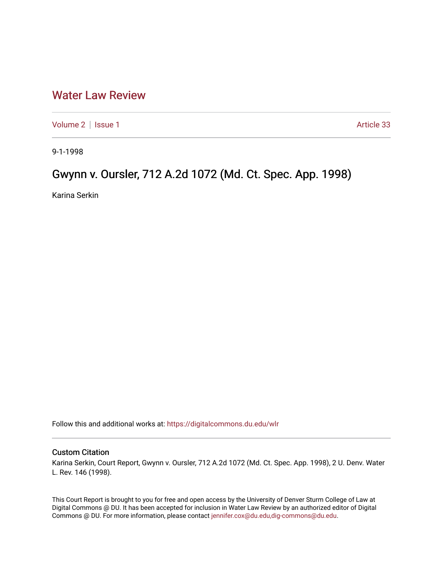## [Water Law Review](https://digitalcommons.du.edu/wlr)

[Volume 2](https://digitalcommons.du.edu/wlr/vol2) | [Issue 1](https://digitalcommons.du.edu/wlr/vol2/iss1) Article 33

9-1-1998

## Gwynn v. Oursler, 712 A.2d 1072 (Md. Ct. Spec. App. 1998)

Karina Serkin

Follow this and additional works at: [https://digitalcommons.du.edu/wlr](https://digitalcommons.du.edu/wlr?utm_source=digitalcommons.du.edu%2Fwlr%2Fvol2%2Fiss1%2F33&utm_medium=PDF&utm_campaign=PDFCoverPages) 

## Custom Citation

Karina Serkin, Court Report, Gwynn v. Oursler, 712 A.2d 1072 (Md. Ct. Spec. App. 1998), 2 U. Denv. Water L. Rev. 146 (1998).

This Court Report is brought to you for free and open access by the University of Denver Sturm College of Law at Digital Commons @ DU. It has been accepted for inclusion in Water Law Review by an authorized editor of Digital Commons @ DU. For more information, please contact [jennifer.cox@du.edu,dig-commons@du.edu.](mailto:jennifer.cox@du.edu,dig-commons@du.edu)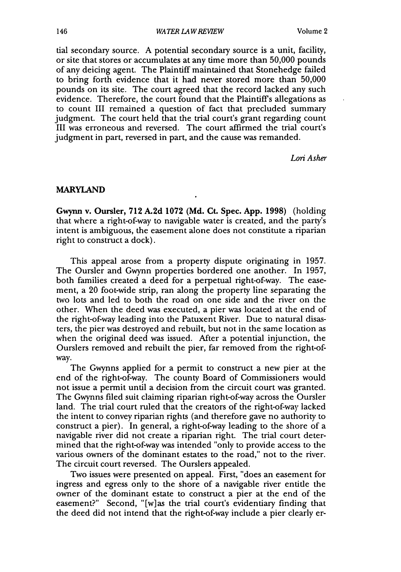tial secondary source. A potential secondary source is a unit, facility, or site that stores or accumulates at any time more than 50,000 pounds of any deicing agent. The Plaintiff maintained that Stonehedge failed to bring forth evidence that it had never stored more than 50,000 pounds on its site. The court agreed that the record lacked any such evidence. Therefore, the court found that the Plaintiffs allegations as to count III remained a question of fact that precluded summary judgment. The court held that the trial court's grant regarding count III was erroneous and reversed. The court affirmed the trial court's judgment in part, reversed in part, and the cause was remanded.

Lori *Asher*

## MARYLAND

**Gwynn** v. Oursler, 712 A.2d 1072 (Md. Ct. Spec. App. 1998) (holding that where a right-of-way to navigable water is created, and the party's intent is ambiguous, the easement alone does not constitute a riparian right to construct a dock).

This appeal arose from a property dispute originating in 1957. The Oursler and Gwynn properties bordered one another. In 1957, both families created a deed for a perpetual right-of-way. The easement, a 20 foot-wide strip, ran along the property line separating the two lots and led to both the road on one side and the river on the other. When the deed was executed, a pier was located at the end of the right-of-way leading into the Patuxent River. Due to natural disasters, the pier was destroyed and rebuilt, but not in the same location as when the original deed was issued. After a potential injunction, the Ourslers removed and rebuilt the pier, far removed from the right-ofway.

The Gwynns applied for a permit to construct a new pier at the end of the right-of-way. The county Board of Commissioners would not issue a permit until a decision from the circuit court was granted. The Gwynns filed suit claiming riparian right-of-way across the Oursler land. The trial court ruled that the creators of the right-of-way lacked the intent to convey riparian rights (and therefore gave no authority to construct a pier). In general, a right-of-way leading to the shore of a navigable river did not create a riparian right. The trial court determined that the right-of-way was intended "only to provide access to the various owners of the dominant estates to the road," not to the river. The circuit court reversed. The Ourslers appealed.

Two issues were presented on appeal. First, "does an easement for ingress and egress only to the shore of a navigable river entitle the owner of the dominant estate to construct a pier at the end of the easement?" Second, "[w]as the trial court's evidentiary finding that the deed did not intend that the right-of-way include a pier clearly er